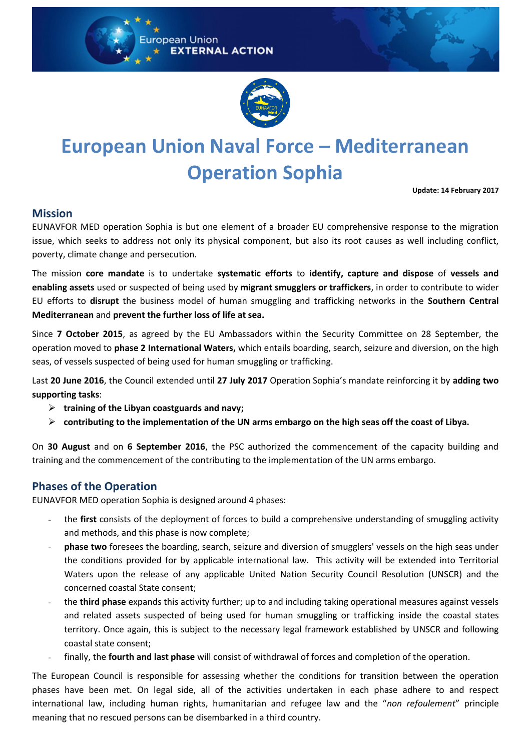



# **European Union Naval Force – Mediterranean Operation Sophia**

**Update: 14 February 2017**

#### **Mission**

EUNAVFOR MED operation Sophia is but one element of a broader EU comprehensive response to the migration issue, which seeks to address not only its physical component, but also its root causes as well including conflict, poverty, climate change and persecution.

The mission **core mandate** is to undertake **systematic efforts** to **identify, capture and dispose** of **vessels and enabling assets** used or suspected of being used by **migrant smugglers or traffickers**, in order to contribute to wider EU efforts to **disrupt** the business model of human smuggling and trafficking networks in the **Southern Central Mediterranean** and **prevent the further loss of life at sea.**

Since **7 October 2015**, as agreed by the EU Ambassadors within the Security Committee on 28 September, the operation moved to **phase 2 International Waters,** which entails boarding, search, seizure and diversion, on the high seas, of vessels suspected of being used for human smuggling or trafficking.

Last **20 June 2016**, the Council extended until **27 July 2017** Operation Sophia's mandate reinforcing it by **adding two supporting tasks**:

- **training of the Libyan coastguards and navy;**
- **contributing to the implementation of the UN arms embargo on the high seas off the coast of Libya.**

On **30 August** and on **6 September 2016**, the PSC authorized the commencement of the capacity building and training and the commencement of the contributing to the implementation of the UN arms embargo.

## **Phases of the Operation**

EUNAVFOR MED operation Sophia is designed around 4 phases:

- the **first** consists of the deployment of forces to build a comprehensive understanding of smuggling activity and methods, and this phase is now complete;
- **phase two** foresees the boarding, search, seizure and diversion of smugglers' vessels on the high seas under the conditions provided for by applicable international law. This activity will be extended into Territorial Waters upon the release of any applicable United Nation Security Council Resolution (UNSCR) and the concerned coastal State consent;
- the **third phase** expands this activity further; up to and including taking operational measures against vessels and related assets suspected of being used for human smuggling or trafficking inside the coastal states territory. Once again, this is subject to the necessary legal framework established by UNSCR and following coastal state consent;
- finally, the **fourth and last phase** will consist of withdrawal of forces and completion of the operation.

The European Council is responsible for assessing whether the conditions for transition between the operation phases have been met. On legal side, all of the activities undertaken in each phase adhere to and respect international law, including human rights, humanitarian and refugee law and the "*non refoulement*" principle meaning that no rescued persons can be disembarked in a third country.